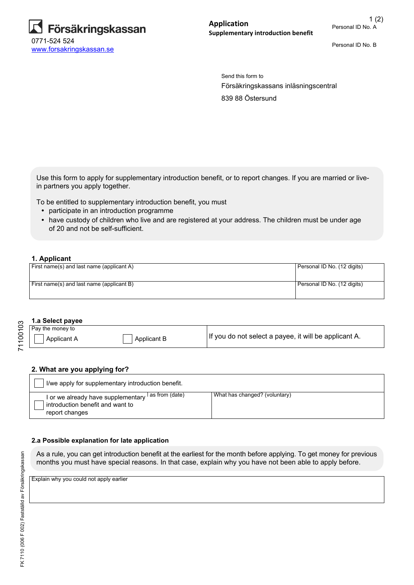

Personal ID No. B

Försäkringskassans inläsningscentral Send this form to 839 88 Östersund

Use this form to apply for supplementary introduction benefit, or to report changes. If you are married or livein partners you apply together.

To be entitled to supplementary introduction benefit, you must

- participate in an introduction programme
- have custody of children who live and are registered at your address. The children must be under age of 20 and not be self-sufficient.

### **1. Applicant**

| First name(s) and last name (applicant A) | Personal ID No. (12 digits) |
|-------------------------------------------|-----------------------------|
| First name(s) and last name (applicant B) | Personal ID No. (12 digits) |

#### **1.a Select payee**

| Pay the money to |             |                                                       |
|------------------|-------------|-------------------------------------------------------|
| Applicant A      | Applicant B | If you do not select a payee, it will be applicant A. |

#### **2. What are you applying for?**

| I/we apply for supplementary introduction benefit.                                                                   |                               |  |  |  |  |
|----------------------------------------------------------------------------------------------------------------------|-------------------------------|--|--|--|--|
| I or we already have supplementary <sup>I as from (date)</sup><br>introduction benefit and want to<br>report changes | What has changed? (voluntary) |  |  |  |  |

### **2.a Possible explanation for late application**

As a rule, you can get introduction benefit at the earliest for the month before applying. To get money for previous months you must have special reasons. In that case, explain why you have not been able to apply before.

Explain why you could not apply earlier

71100103

71100103